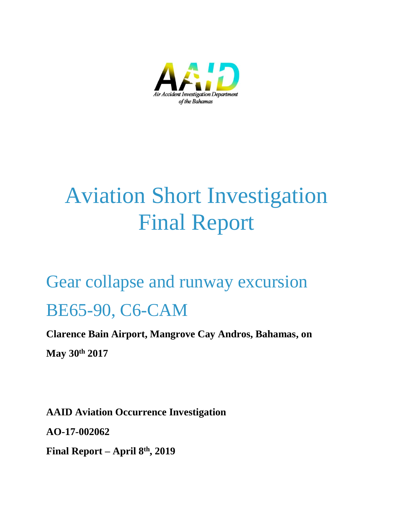

# Aviation Short Investigation Final Report

## Gear collapse and runway excursion BE65-90, C6-CAM

**Clarence Bain Airport, Mangrove Cay Andros, Bahamas, on May 30th 2017**

**AAID Aviation Occurrence Investigation AO-17-002062 Final Report – April 8 th, 2019**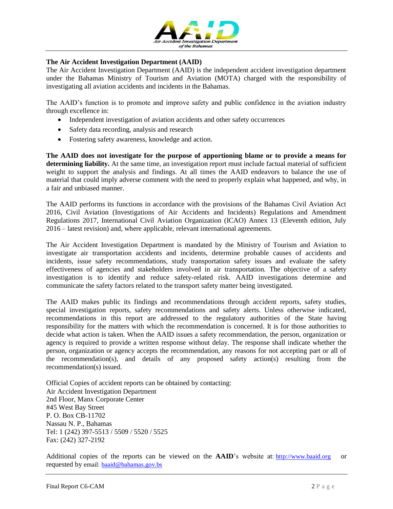

#### **The Air Accident Investigation Department (AAID)**

The Air Accident Investigation Department (AAID) is the independent accident investigation department under the Bahamas Ministry of Tourism and Aviation (MOTA) charged with the responsibility of investigating all aviation accidents and incidents in the Bahamas.

The AAID's function is to promote and improve safety and public confidence in the aviation industry through excellence in:

- Independent investigation of aviation accidents and other safety occurrences
- Safety data recording, analysis and research
- Fostering safety awareness, knowledge and action.

**The AAID does not investigate for the purpose of apportioning blame or to provide a means for determining liability.** At the same time, an investigation report must include factual material of sufficient weight to support the analysis and findings. At all times the AAID endeavors to balance the use of material that could imply adverse comment with the need to properly explain what happened, and why, in a fair and unbiased manner.

The AAID performs its functions in accordance with the provisions of the Bahamas Civil Aviation Act 2016, Civil Aviation (Investigations of Air Accidents and Incidents) Regulations and Amendment Regulations 2017, International Civil Aviation Organization (ICAO) Annex 13 (Eleventh edition, July 2016 – latest revision) and, where applicable, relevant international agreements.

The Air Accident Investigation Department is mandated by the Ministry of Tourism and Aviation to investigate air transportation accidents and incidents, determine probable causes of accidents and incidents, issue safety recommendations, study transportation safety issues and evaluate the safety effectiveness of agencies and stakeholders involved in air transportation. The objective of a safety investigation is to identify and reduce safety-related risk. AAID investigations determine and communicate the safety factors related to the transport safety matter being investigated.

The AAID makes public its findings and recommendations through accident reports, safety studies, special investigation reports, safety recommendations and safety alerts. Unless otherwise indicated, recommendations in this report are addressed to the regulatory authorities of the State having responsibility for the matters with which the recommendation is concerned. It is for those authorities to decide what action is taken. When the AAID issues a safety recommendation, the person, organization or agency is required to provide a written response without delay. The response shall indicate whether the person, organization or agency accepts the recommendation, any reasons for not accepting part or all of the recommendation(s), and details of any proposed safety action(s) resulting from the recommendation(s) issued.

Official Copies of accident reports can be obtained by contacting: Air Accident Investigation Department 2nd Floor, Manx Corporate Center #45 West Bay Street P. O. Box CB-11702 Nassau N. P., Bahamas Tel: 1 (242) 397-5513 / 5509 / 5520 / 5525 Fax: (242) 327-2192

Additional copies of the reports can be viewed on the **AAID**'s website at: [http://www.baaid.org](http://www.baaid.org/) or requested by email: **[baaid@bahamas.gov.bs](mailto:baaid@bahamas.gov.bs)**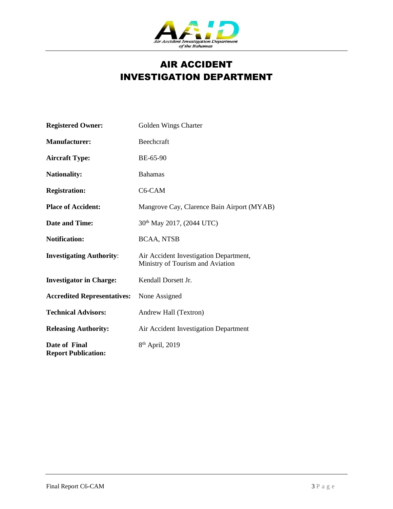

## AIR ACCIDENT INVESTIGATION DEPARTMENT

| <b>Registered Owner:</b>                    | Golden Wings Charter                                                       |
|---------------------------------------------|----------------------------------------------------------------------------|
| <b>Manufacturer:</b>                        | Beechcraft                                                                 |
| <b>Aircraft Type:</b>                       | BE-65-90                                                                   |
| <b>Nationality:</b>                         | <b>Bahamas</b>                                                             |
| <b>Registration:</b>                        | C6-CAM                                                                     |
| <b>Place of Accident:</b>                   | Mangrove Cay, Clarence Bain Airport (MYAB)                                 |
| <b>Date and Time:</b>                       | 30 <sup>th</sup> May 2017, (2044 UTC)                                      |
| <b>Notification:</b>                        | <b>BCAA, NTSB</b>                                                          |
| <b>Investigating Authority:</b>             | Air Accident Investigation Department,<br>Ministry of Tourism and Aviation |
| <b>Investigator in Charge:</b>              | Kendall Dorsett Jr.                                                        |
| <b>Accredited Representatives:</b>          | None Assigned                                                              |
| <b>Technical Advisors:</b>                  | Andrew Hall (Textron)                                                      |
| <b>Releasing Authority:</b>                 | Air Accident Investigation Department                                      |
| Date of Final<br><b>Report Publication:</b> | 8 <sup>th</sup> April, 2019                                                |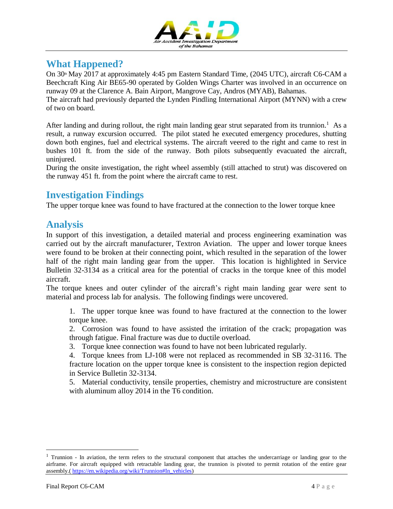

## **What Happened?**

On 30<sup>th</sup> May 2017 at approximately 4:45 pm Eastern Standard Time, (2045 UTC), aircraft C6-CAM a Beechcraft King Air BE65-90 operated by Golden Wings Charter was involved in an occurrence on runway 09 at the Clarence A. Bain Airport, Mangrove Cay, Andros (MYAB), Bahamas.

The aircraft had previously departed the Lynden Pindling International Airport (MYNN) with a crew of two on board.

After landing and during rollout, the right main landing gear strut separated from its trunnion.<sup>1</sup> As a result, a runway excursion occurred. The pilot stated he executed emergency procedures, shutting down both engines, fuel and electrical systems. The aircraft veered to the right and came to rest in bushes 101 ft. from the side of the runway. Both pilots subsequently evacuated the aircraft, uninjured.

During the onsite investigation, the right wheel assembly (still attached to strut) was discovered on the runway 451 ft. from the point where the aircraft came to rest.

## **Investigation Findings**

The upper torque knee was found to have fractured at the connection to the lower torque knee

## **Analysis**

In support of this investigation, a detailed material and process engineering examination was carried out by the aircraft manufacturer, Textron Aviation. The upper and lower torque knees were found to be broken at their connecting point, which resulted in the separation of the lower half of the right main landing gear from the upper. This location is highlighted in Service Bulletin 32-3134 as a critical area for the potential of cracks in the torque knee of this model aircraft.

The torque knees and outer cylinder of the aircraft's right main landing gear were sent to material and process lab for analysis. The following findings were uncovered.

1. The upper torque knee was found to have fractured at the connection to the lower torque knee.

2. Corrosion was found to have assisted the irritation of the crack; propagation was through fatigue. Final fracture was due to ductile overload.

3. Torque knee connection was found to have not been lubricated regularly.

4. Torque knees from LJ-108 were not replaced as recommended in SB 32-3116. The fracture location on the upper torque knee is consistent to the inspection region depicted in Service Bulletin 32-3134.

5. Material conductivity, tensile properties, chemistry and microstructure are consistent with aluminum alloy 2014 in the T6 condition.

 $\overline{a}$ 

 $<sup>1</sup>$  Trunnion - In aviation, the term refers to the structural component that attaches the undercarriage or landing gear to the</sup> airframe. For aircraft equipped with retractable landing gear, the trunnion is pivoted to permit rotation of the entire gear assembly.( [https://en.wikipedia.org/wiki/Trunnion#In\\_vehicles\)](https://en.wikipedia.org/wiki/Trunnion#In_vehicles)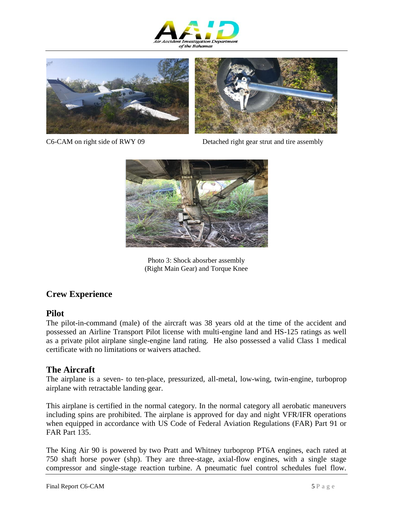





C6-CAM on right side of RWY 09 Detached right gear strut and tire assembly



Photo 3: Shock abosrber assembly (Right Main Gear) and Torque Knee

### **Crew Experience**

#### **Pilot**

The pilot-in-command (male) of the aircraft was 38 years old at the time of the accident and possessed an Airline Transport Pilot license with multi-engine land and HS-125 ratings as well as a private pilot airplane single-engine land rating. He also possessed a valid Class 1 medical certificate with no limitations or waivers attached.

#### **The Aircraft**

The airplane is a seven- to ten-place, pressurized, all-metal, low-wing, twin-engine, turboprop airplane with retractable landing gear.

This airplane is certified in the normal category. In the normal category all aerobatic maneuvers including spins are prohibited. The airplane is approved for day and night VFR/IFR operations when equipped in accordance with US Code of Federal Aviation Regulations (FAR) Part 91 or FAR Part 135.

The King Air 90 is powered by two Pratt and Whitney turboprop PT6A engines, each rated at 750 shaft horse power (shp). They are three-stage, axial-flow engines, with a single stage compressor and single-stage reaction turbine. A pneumatic fuel control schedules fuel flow.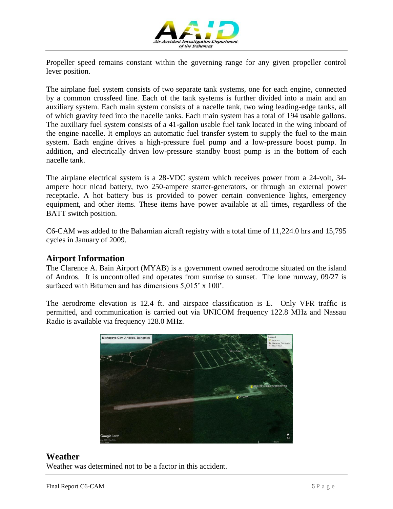

Propeller speed remains constant within the governing range for any given propeller control lever position.

The airplane fuel system consists of two separate tank systems, one for each engine, connected by a common crossfeed line. Each of the tank systems is further divided into a main and an auxiliary system. Each main system consists of a nacelle tank, two wing leading-edge tanks, all of which gravity feed into the nacelle tanks. Each main system has a total of 194 usable gallons. The auxiliary fuel system consists of a 41-gallon usable fuel tank located in the wing inboard of the engine nacelle. It employs an automatic fuel transfer system to supply the fuel to the main system. Each engine drives a high-pressure fuel pump and a low-pressure boost pump. In addition, and electrically driven low-pressure standby boost pump is in the bottom of each nacelle tank.

The airplane electrical system is a 28-VDC system which receives power from a 24-volt, 34 ampere hour nicad battery, two 250-ampere starter-generators, or through an external power receptacle. A hot battery bus is provided to power certain convenience lights, emergency equipment, and other items. These items have power available at all times, regardless of the BATT switch position.

C6-CAM was added to the Bahamian aicraft registry with a total time of 11,224.0 hrs and 15,795 cycles in January of 2009.

#### **Airport Information**

The Clarence A. Bain Airport (MYAB) is a government owned aerodrome situated on the island of Andros. It is uncontrolled and operates from sunrise to sunset. The lone runway, 09/27 is surfaced with Bitumen and has dimensions 5,015' x 100'.

The aerodrome elevation is 12.4 ft. and airspace classification is E. Only VFR traffic is permitted, and communication is carried out via UNICOM frequency 122.8 MHz and Nassau Radio is available via frequency 128.0 MHz.



#### **Weather**

Weather was determined not to be a factor in this accident.